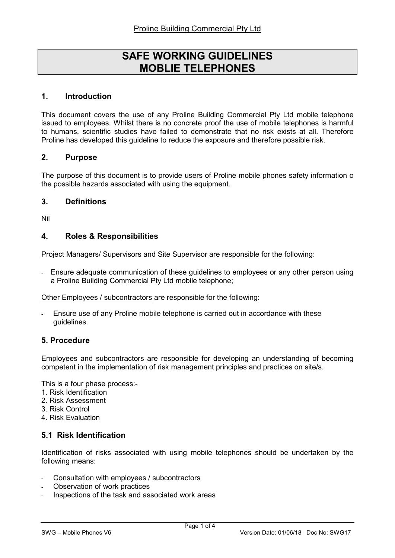# SAFE WORKING GUIDELINES MOBLIE TELEPHONES

#### 1. Introduction

This document covers the use of any Proline Building Commercial Pty Ltd mobile telephone issued to employees. Whilst there is no concrete proof the use of mobile telephones is harmful to humans, scientific studies have failed to demonstrate that no risk exists at all. Therefore Proline has developed this guideline to reduce the exposure and therefore possible risk.

#### 2. Purpose

The purpose of this document is to provide users of Proline mobile phones safety information o the possible hazards associated with using the equipment.

#### 3. Definitions

Nil

#### 4. Roles & Responsibilities

Project Managers/ Supervisors and Site Supervisor are responsible for the following:

- Ensure adequate communication of these guidelines to employees or any other person using a Proline Building Commercial Pty Ltd mobile telephone;

Other Employees / subcontractors are responsible for the following:

Ensure use of any Proline mobile telephone is carried out in accordance with these guidelines.

#### 5. Procedure

Employees and subcontractors are responsible for developing an understanding of becoming competent in the implementation of risk management principles and practices on site/s.

This is a four phase process:-

- 1. Risk Identification
- 2. Risk Assessment
- 3. Risk Control
- 4. Risk Evaluation

## 5.1 Risk Identification

Identification of risks associated with using mobile telephones should be undertaken by the following means:

- Consultation with employees / subcontractors
- Observation of work practices
- Inspections of the task and associated work areas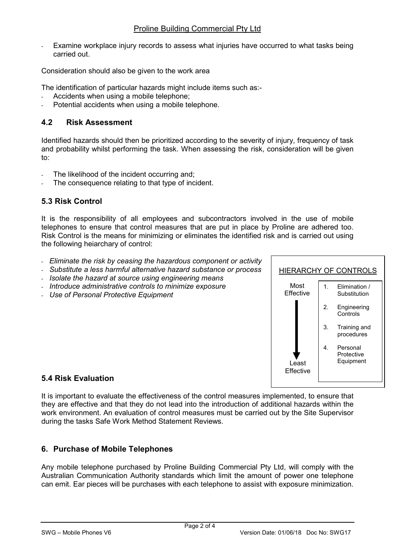Examine workplace injury records to assess what injuries have occurred to what tasks being carried out.

Consideration should also be given to the work area

The identification of particular hazards might include items such as:-

- Accidents when using a mobile telephone;
- Potential accidents when using a mobile telephone.

## 4.2 Risk Assessment

Identified hazards should then be prioritized according to the severity of injury, frequency of task and probability whilst performing the task. When assessing the risk, consideration will be given to:

- The likelihood of the incident occurring and;
- The consequence relating to that type of incident.

## 5.3 Risk Control

It is the responsibility of all employees and subcontractors involved in the use of mobile telephones to ensure that control measures that are put in place by Proline are adhered too. Risk Control is the means for minimizing or eliminates the identified risk and is carried out using the following heiarchary of control:

- Eliminate the risk by ceasing the hazardous component or activity
- Substitute a less harmful alternative hazard substance or process
- Isolate the hazard at source using engineering means
- Introduce administrative controls to minimize exposure
- Use of Personal Protective Equipment



## 5.4 Risk Evaluation

It is important to evaluate the effectiveness of the control measures implemented, to ensure that they are effective and that they do not lead into the introduction of additional hazards within the work environment. An evaluation of control measures must be carried out by the Site Supervisor during the tasks Safe Work Method Statement Reviews.

## 6. Purchase of Mobile Telephones

Any mobile telephone purchased by Proline Building Commercial Pty Ltd, will comply with the Australian Communication Authority standards which limit the amount of power one telephone can emit. Ear pieces will be purchases with each telephone to assist with exposure minimization.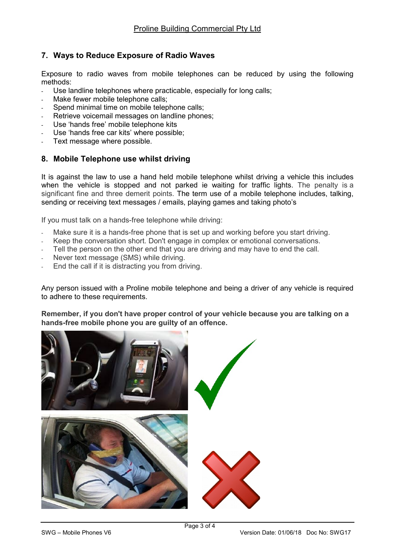# 7. Ways to Reduce Exposure of Radio Waves

Exposure to radio waves from mobile telephones can be reduced by using the following methods:

- Use landline telephones where practicable, especially for long calls;
- Make fewer mobile telephone calls;
- Spend minimal time on mobile telephone calls:
- Retrieve voicemail messages on landline phones;
- Use 'hands free' mobile telephone kits
- Use 'hands free car kits' where possible:
- Text message where possible.

## 8. Mobile Telephone use whilst driving

It is against the law to use a hand held mobile telephone whilst driving a vehicle this includes when the vehicle is stopped and not parked ie waiting for traffic lights. The penalty is a significant fine and three demerit points. The term use of a mobile telephone includes, talking, sending or receiving text messages / emails, playing games and taking photo's

If you must talk on a hands-free telephone while driving:

- Make sure it is a hands-free phone that is set up and working before you start driving.
- Keep the conversation short. Don't engage in complex or emotional conversations.
- Tell the person on the other end that you are driving and may have to end the call.
- Never text message (SMS) while driving.
- End the call if it is distracting you from driving.

Any person issued with a Proline mobile telephone and being a driver of any vehicle is required to adhere to these requirements.

Remember, if you don't have proper control of your vehicle because you are talking on a hands-free mobile phone you are guilty of an offence.